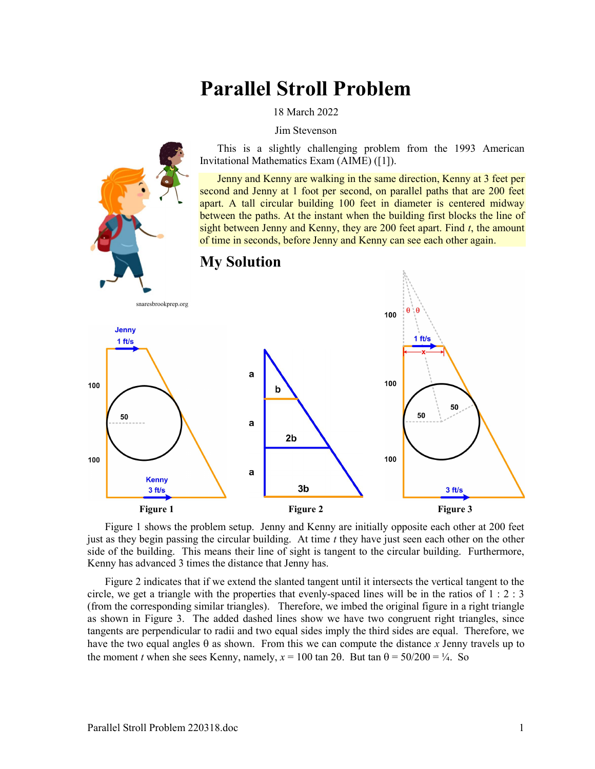# Parallel Stroll Problem

18 March 2022

Jim Stevenson

This is a slightly challenging problem from the 1993 American Invitational Mathematics Exam (AIME) ([1]).

Jenny and Kenny are walking in the same direction, Kenny at 3 feet per second and Jenny at 1 foot per second, on parallel paths that are 200 feet apart. A tall circular building 100 feet in diameter is centered midway between the paths. At the instant when the building first blocks the line of sight between Jenny and Kenny, they are 200 feet apart. Find  $t$ , the amount of time in seconds, before Jenny and Kenny can see each other again.



Figure 1 shows the problem setup. Jenny and Kenny are initially opposite each other at 200 feet just as they begin passing the circular building. At time  $t$  they have just seen each other on the other side of the building. This means their line of sight is tangent to the circular building. Furthermore, Kenny has advanced 3 times the distance that Jenny has.

Figure 2 indicates that if we extend the slanted tangent until it intersects the vertical tangent to the circle, we get a triangle with the properties that evenly-spaced lines will be in the ratios of  $1:2:3$ (from the corresponding similar triangles). Therefore, we imbed the original figure in a right triangle as shown in Figure 3. The added dashed lines show we have two congruent right triangles, since tangents are perpendicular to radii and two equal sides imply the third sides are equal. Therefore, we have the two equal angles  $\theta$  as shown. From this we can compute the distance x Jenny travels up to the moment t when she sees Kenny, namely,  $x = 100 \tan 2\theta$ . But tan  $\theta = 50/200 = \frac{1}{4}$ . So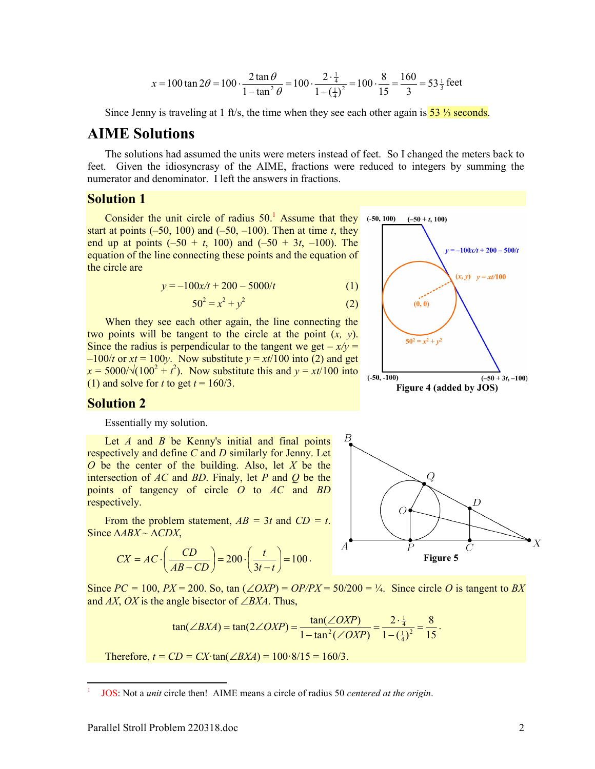$$
CX = AC \cdot \left(\frac{CD}{AB - CD}\right) = 200 \cdot \left(\frac{t}{3t - t}\right) = 100.
$$

From the problem statement,  $AB = 3t$  and  $CD = t$ .

Since  $PC = 100$ ,  $PX = 200$ . So, tan  $(\angle OXP) = OP/PX = 50/200 = \frac{1}{4}$ . Since circle O is tangent to BX and AX, OX is the angle bisector of  $\angle BXA$ . Thus,

$$
\tan(\angle BXA) = \tan(2\angle OXP) = \frac{\tan(\angle OXP)}{1 - \tan^2(\angle OXP)} = \frac{2 \cdot \frac{1}{4}}{1 - (\frac{1}{4})^2} = \frac{8}{15}.
$$

Therefore,  $t = CD = CX \cdot \tan(\angle BXA) = 100.8/15 = 160/3$ .

$$
x = 100 \tan 2\theta = 100 \cdot \frac{2 \tan \theta}{1 - \tan^2 \theta} = 100 \cdot \frac{2 \cdot \frac{1}{4}}{1 - (\frac{1}{4})^2} = 100 \cdot \frac{8}{15} = \frac{160}{3} = 53 \frac{1}{3} \text{ feet}
$$

Since Jenny is traveling at 1 ft/s, the time when they see each other again is  $\frac{53\%}{3}$  seconds.

## AIME Solutions

The solutions had assumed the units were meters instead of feet. So I changed the meters back to feet. Given the idiosyncrasy of the AIME, fractions were reduced to integers by summing the numerator and denominator. I left the answers in fractions.

(2)

#### Solution 1

Solution 2

respectively.

Since  $\triangle ABX \sim \triangle CDX$ ,

Essentially my solution.

Consider the unit circle of radius  $50<sup>1</sup>$  Assume that they start at points  $(-50, 100)$  and  $(-50, -100)$ . Then at time t, they end up at points  $(-50 + t, 100)$  and  $(-50 + 3t, -100)$ . The equation of the line connecting these points and the equation of the circle are

$$
y = -100x/t + 200 - 5000/t
$$
 (1)

$$
50^2 = x^2 + y^2
$$

When they see each other again, the line connecting the two points will be tangent to the circle at the point  $(x, y)$ . Since the radius is perpendicular to the tangent we get  $-x/y =$  $-100/t$  or  $xt = 100y$ . Now substitute  $y = xt/100$  into (2) and get  $x = 5000/\sqrt{(100^2 + t^2)}$ . Now substitute this and  $y = xt/100$  into (1) and solve for t to get  $t = 160/3$ .

Let  $A$  and  $B$  be Kenny's initial and final points respectively and define C and D similarly for Jenny. Let O be the center of the building. Also, let  $X$  be the intersection of  $AC$  and  $BD$ . Finaly, let P and Q be the points of tangency of circle  $O$  to  $AC$  and  $BD$ 





<sup>1</sup> JOS: Not a unit circle then! AIME means a circle of radius 50 centered at the origin.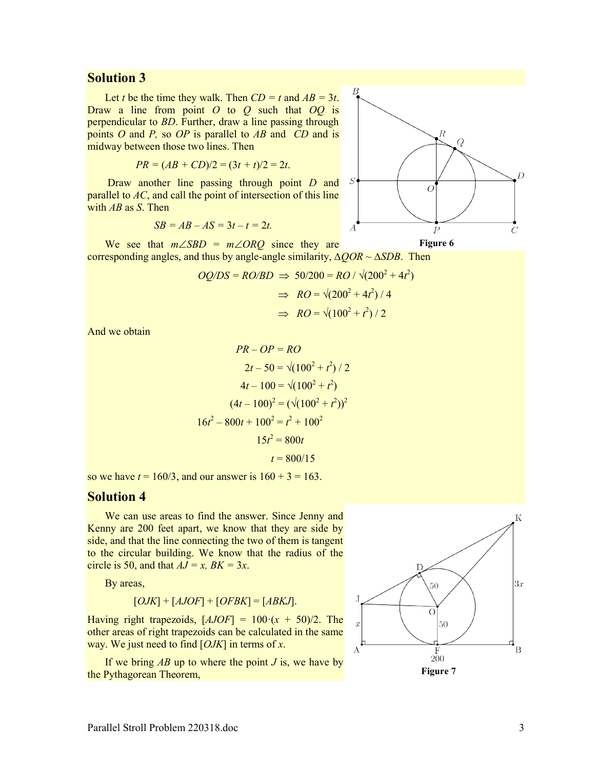#### Solution 3

Let t be the time they walk. Then  $CD = t$  and  $AB = 3t$ . Draw a line from point  $O$  to  $O$  such that  $OO$  is perpendicular to BD. Further, draw a line passing through points  $O$  and  $P$ , so  $OP$  is parallel to  $AB$  and  $CD$  and is midway between those two lines. Then

$$
PR = (AB + CD)/2 = (3t + t)/2 = 2t.
$$

Draw another line passing through point D and parallel to  $AC$ , and call the point of intersection of this line with  $AB$  as  $S$ . Then

$$
SB = AB - AS = 3t - t = 2t.
$$



We see that  $m\angle SBD = m\angle ORQ$  since they are corresponding angles, and thus by angle-angle similarity,  $\triangle OOR \sim \triangle SDB$ . Then

$$
OQ/DS = RO/BD \implies 50/200 = RO / \sqrt{(200^2 + 4t^2)}
$$

$$
\implies RO = \sqrt{(200^2 + 4t^2) / 4}
$$

$$
\implies RO = \sqrt{(100^2 + t^2) / 2}
$$

And we obtain

$$
PR - OP = RO
$$
  
\n
$$
2t - 50 = \sqrt{(100^2 + t^2)} / 2
$$
  
\n
$$
4t - 100 = \sqrt{(100^2 + t^2)}
$$
  
\n
$$
(4t - 100)^2 = (\sqrt{(100^2 + t^2)})^2
$$
  
\n
$$
16t^2 - 800t + 100^2 = t^2 + 100^2
$$
  
\n
$$
15t^2 = 800t
$$
  
\n
$$
t = 800/15
$$

so we have  $t = 160/3$ , and our answer is  $160 + 3 = 163$ .

#### Solution 4

We can use areas to find the answer. Since Jenny and Kenny are 200 feet apart, we know that they are side by side, and that the line connecting the two of them is tangent to the circular building. We know that the radius of the circle is 50, and that  $AJ = x$ ,  $BK = 3x$ .

By areas,

$$
[OJK] + [AJOF] + [OFBK] = [ABKJ].
$$

Having right trapezoids,  $[AJOF] = 100 \cdot (x + 50)/2$ . The other areas of right trapezoids can be calculated in the same way. We just need to find  $[OJK]$  in terms of x.

If we bring  $AB$  up to where the point  $J$  is, we have by the Pythagorean Theorem,